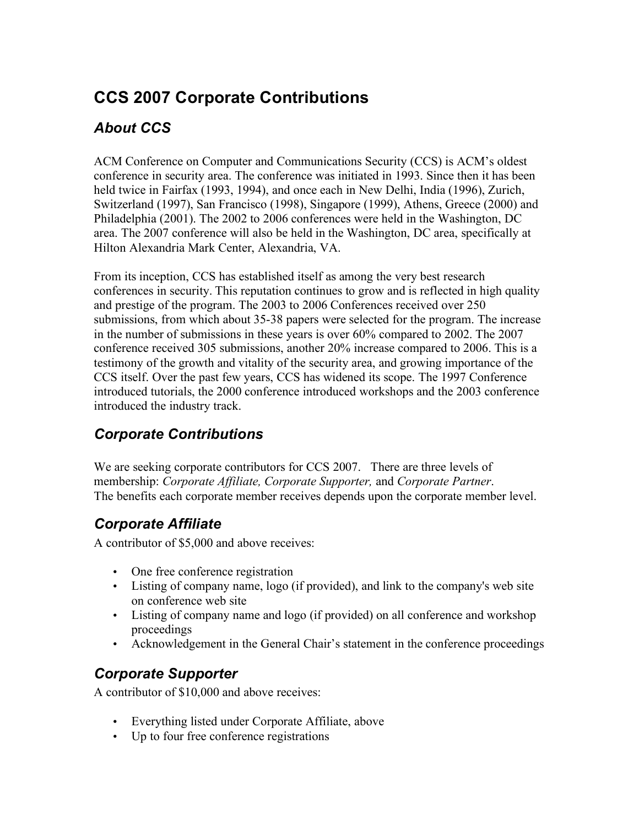# **CCS 2007 Corporate Contributions**

# *About CCS*

ACM Conference on Computer and Communications Security (CCS) is ACM's oldest conference in security area. The conference was initiated in 1993. Since then it has been held twice in Fairfax (1993, 1994), and once each in New Delhi, India (1996), Zurich, Switzerland (1997), San Francisco (1998), Singapore (1999), Athens, Greece (2000) and Philadelphia (2001). The 2002 to 2006 conferences were held in the Washington, DC area. The 2007 conference will also be held in the Washington, DC area, specifically at Hilton Alexandria Mark Center, Alexandria, VA.

From its inception, CCS has established itself as among the very best research conferences in security. This reputation continues to grow and is reflected in high quality and prestige of the program. The 2003 to 2006 Conferences received over 250 submissions, from which about 35-38 papers were selected for the program. The increase in the number of submissions in these years is over 60% compared to 2002. The 2007 conference received 305 submissions, another 20% increase compared to 2006. This is a testimony of the growth and vitality of the security area, and growing importance of the CCS itself. Over the past few years, CCS has widened its scope. The 1997 Conference introduced tutorials, the 2000 conference introduced workshops and the 2003 conference introduced the industry track.

# *Corporate Contributions*

We are seeking corporate contributors for CCS 2007. There are three levels of membership: *Corporate Affiliate, Corporate Supporter,* and *Corporate Partner*. The benefits each corporate member receives depends upon the corporate member level.

### *Corporate Affiliate*

A contributor of \$5,000 and above receives:

- One free conference registration
- Listing of company name, logo (if provided), and link to the company's web site on conference web site
- Listing of company name and logo (if provided) on all conference and workshop proceedings
- Acknowledgement in the General Chair's statement in the conference proceedings

### *Corporate Supporter*

A contributor of \$10,000 and above receives:

- Everything listed under Corporate Affiliate, above
- Up to four free conference registrations